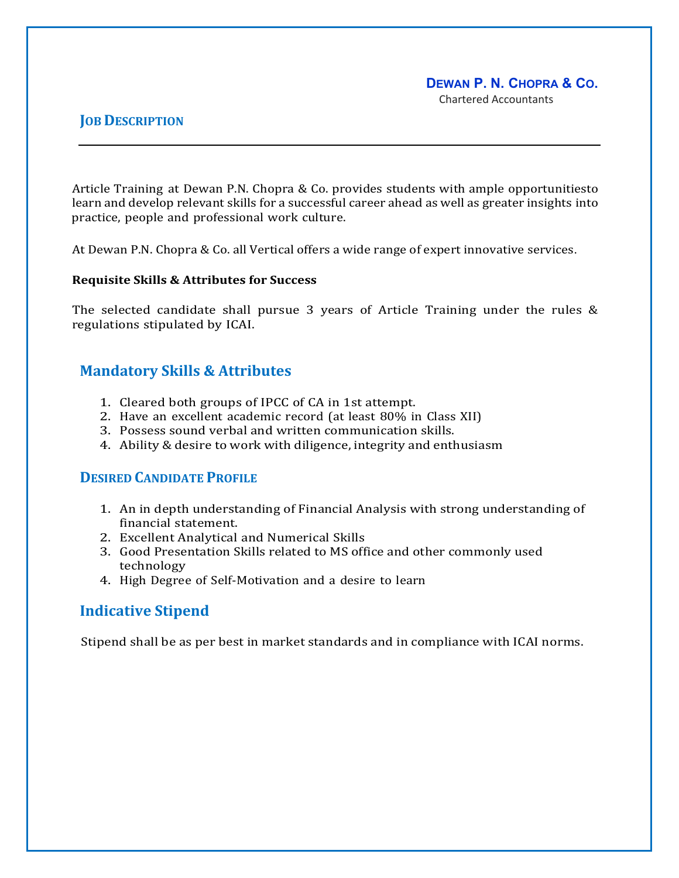# **DEWAN P. N. CHOPRA & CO.**

Chartered Accountants

### **JOB DESCRIPTION**

Article Training at Dewan P.N. Chopra & Co. provides students with ample opportunitiesto learn and develop relevant skills for a successful career ahead as well as greater insights into practice, people and professional work culture.

At Dewan P.N. Chopra & Co. all Vertical offers a wide range of expert innovative services.

### **Requisite Skills & Attributes for Success**

The selected candidate shall pursue 3 years of Article Training under the rules & regulations stipulated by ICAI.

# **Mandatory Skills & Attributes**

- 1. Cleared both groups of IPCC of CA in 1st attempt.
- 2. Have an excellent academic record (at least 80% in Class XII)
- 3. Possess sound verbal and written communication skills.
- 4. Ability & desire to work with diligence, integrity and enthusiasm

# **DESIRED CANDIDATE PROFILE**

- 1. An in depth understanding of Financial Analysis with strong understanding of financial statement.
- 2. Excellent Analytical and Numerical Skills
- 3. Good Presentation Skills related to MS office and other commonly used technology
- 4. High Degree of Self-Motivation and a desire to learn

# **Indicative Stipend**

Stipend shall be as per best in market standards and in compliance with ICAI norms.